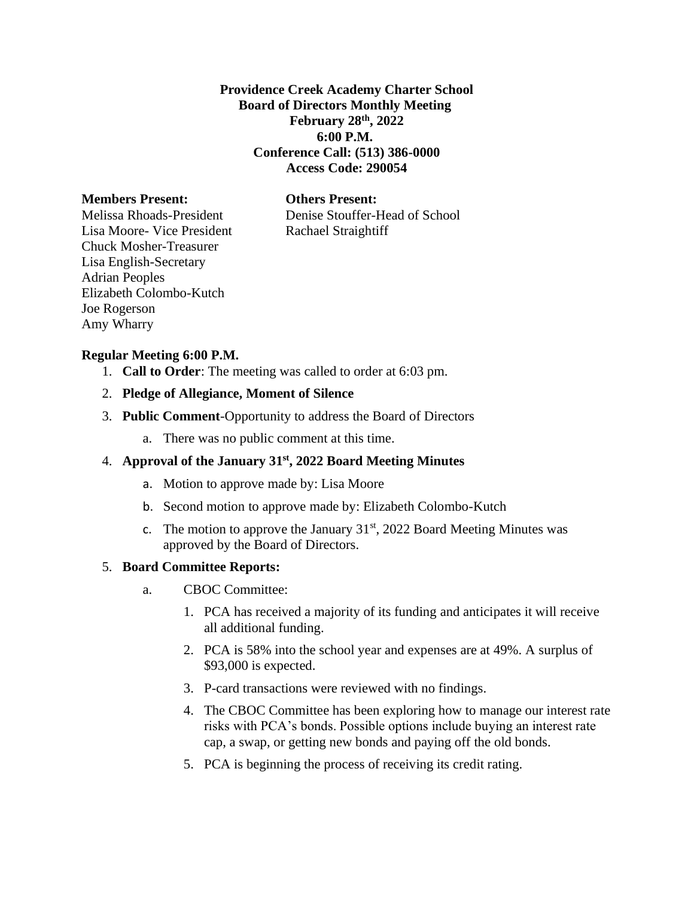**Providence Creek Academy Charter School Board of Directors Monthly Meeting February 28th, 2022 6:00 P.M. Conference Call: (513) 386-0000 Access Code: 290054**

## **Members Present: Others Present:**

Melissa Rhoads-President Denise Stouffer-Head of School

Lisa Moore- Vice President Rachael Straightiff Chuck Mosher-Treasurer Lisa English-Secretary Adrian Peoples Elizabeth Colombo-Kutch Joe Rogerson Amy Wharry

#### **Regular Meeting 6:00 P.M.**

- 1. **Call to Order**: The meeting was called to order at 6:03 pm.
- 2. **Pledge of Allegiance, Moment of Silence**
- 3. **Public Comment**-Opportunity to address the Board of Directors
	- a. There was no public comment at this time.

## 4. **Approval of the January 31st, 2022 Board Meeting Minutes**

- a. Motion to approve made by: Lisa Moore
- b. Second motion to approve made by: Elizabeth Colombo-Kutch
- c. The motion to approve the January  $31<sup>st</sup>$ , 2022 Board Meeting Minutes was approved by the Board of Directors.

#### 5. **Board Committee Reports:**

- a. CBOC Committee:
	- 1. PCA has received a majority of its funding and anticipates it will receive all additional funding.
	- 2. PCA is 58% into the school year and expenses are at 49%. A surplus of \$93,000 is expected.
	- 3. P-card transactions were reviewed with no findings.
	- 4. The CBOC Committee has been exploring how to manage our interest rate risks with PCA's bonds. Possible options include buying an interest rate cap, a swap, or getting new bonds and paying off the old bonds.
	- 5. PCA is beginning the process of receiving its credit rating.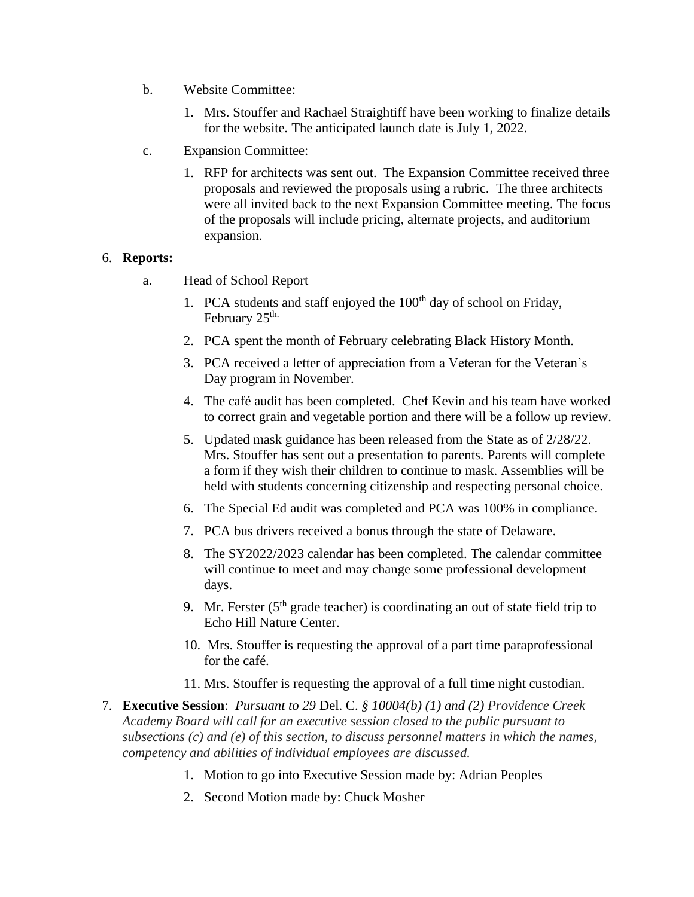- b. Website Committee:
	- 1. Mrs. Stouffer and Rachael Straightiff have been working to finalize details for the website. The anticipated launch date is July 1, 2022.
- c. Expansion Committee:
	- 1. RFP for architects was sent out. The Expansion Committee received three proposals and reviewed the proposals using a rubric. The three architects were all invited back to the next Expansion Committee meeting. The focus of the proposals will include pricing, alternate projects, and auditorium expansion.

# 6. **Reports:**

- a. Head of School Report
	- 1. PCA students and staff enjoyed the  $100<sup>th</sup>$  day of school on Friday, February 25<sup>th.</sup>
	- 2. PCA spent the month of February celebrating Black History Month.
	- 3. PCA received a letter of appreciation from a Veteran for the Veteran's Day program in November.
	- 4. The café audit has been completed. Chef Kevin and his team have worked to correct grain and vegetable portion and there will be a follow up review.
	- 5. Updated mask guidance has been released from the State as of 2/28/22. Mrs. Stouffer has sent out a presentation to parents. Parents will complete a form if they wish their children to continue to mask. Assemblies will be held with students concerning citizenship and respecting personal choice.
	- 6. The Special Ed audit was completed and PCA was 100% in compliance.
	- 7. PCA bus drivers received a bonus through the state of Delaware.
	- 8. The SY2022/2023 calendar has been completed. The calendar committee will continue to meet and may change some professional development days.
	- 9. Mr. Ferster  $(5<sup>th</sup>$  grade teacher) is coordinating an out of state field trip to Echo Hill Nature Center.
	- 10. Mrs. Stouffer is requesting the approval of a part time paraprofessional for the café.
	- 11. Mrs. Stouffer is requesting the approval of a full time night custodian.
- 7. **Executive Session**: *Pursuant to 29* Del. C. *§ 10004(b) (1) and (2) Providence Creek Academy Board will call for an executive session closed to the public pursuant to subsections (c) and (e) of this section, to discuss personnel matters in which the names, competency and abilities of individual employees are discussed.*
	- 1. Motion to go into Executive Session made by: Adrian Peoples
	- 2. Second Motion made by: Chuck Mosher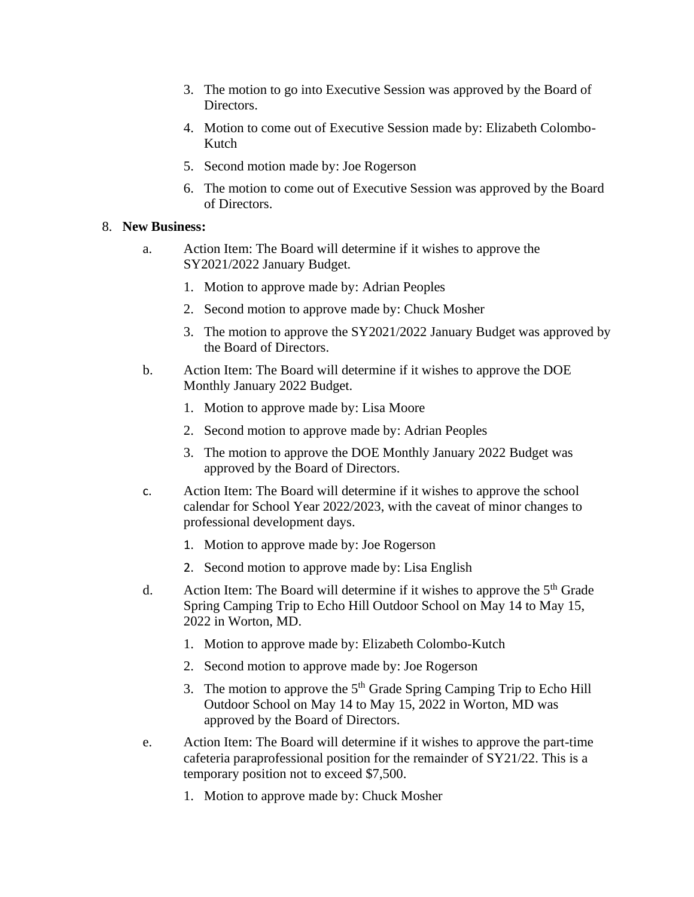- 3. The motion to go into Executive Session was approved by the Board of Directors.
- 4. Motion to come out of Executive Session made by: Elizabeth Colombo-Kutch
- 5. Second motion made by: Joe Rogerson
- 6. The motion to come out of Executive Session was approved by the Board of Directors.

# 8. **New Business:**

- a. Action Item: The Board will determine if it wishes to approve the SY2021/2022 January Budget.
	- 1. Motion to approve made by: Adrian Peoples
	- 2. Second motion to approve made by: Chuck Mosher
	- 3. The motion to approve the SY2021/2022 January Budget was approved by the Board of Directors.
- b. Action Item: The Board will determine if it wishes to approve the DOE Monthly January 2022 Budget.
	- 1. Motion to approve made by: Lisa Moore
	- 2. Second motion to approve made by: Adrian Peoples
	- 3. The motion to approve the DOE Monthly January 2022 Budget was approved by the Board of Directors.
- c. Action Item: The Board will determine if it wishes to approve the school calendar for School Year 2022/2023, with the caveat of minor changes to professional development days.
	- 1. Motion to approve made by: Joe Rogerson
	- 2. Second motion to approve made by: Lisa English
- d. Action Item: The Board will determine if it wishes to approve the  $5<sup>th</sup>$  Grade Spring Camping Trip to Echo Hill Outdoor School on May 14 to May 15, 2022 in Worton, MD.
	- 1. Motion to approve made by: Elizabeth Colombo-Kutch
	- 2. Second motion to approve made by: Joe Rogerson
	- 3. The motion to approve the  $5<sup>th</sup>$  Grade Spring Camping Trip to Echo Hill Outdoor School on May 14 to May 15, 2022 in Worton, MD was approved by the Board of Directors.
- e. Action Item: The Board will determine if it wishes to approve the part-time cafeteria paraprofessional position for the remainder of SY21/22. This is a temporary position not to exceed \$7,500.
	- 1. Motion to approve made by: Chuck Mosher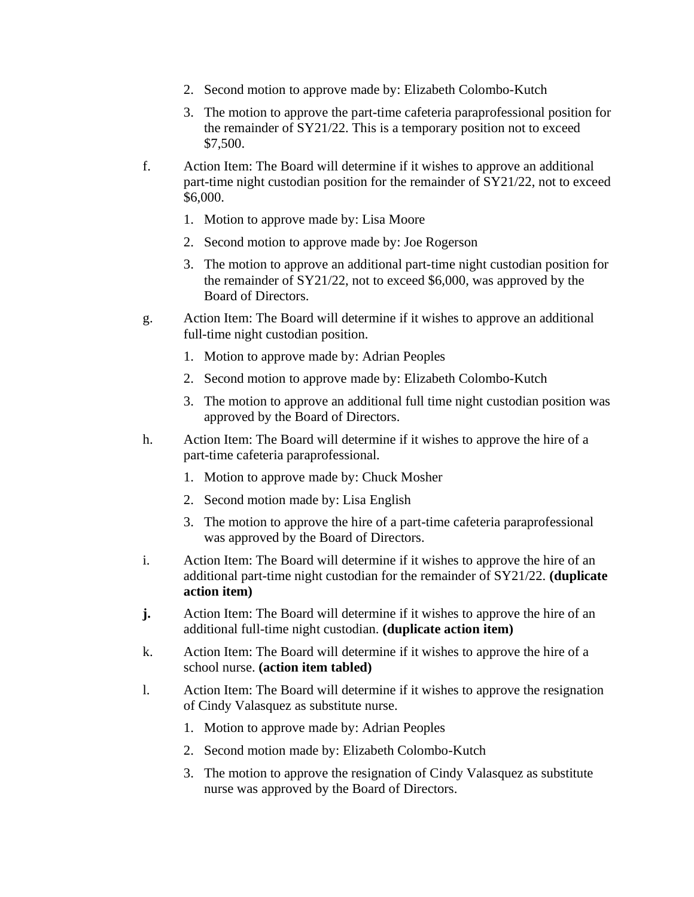- 2. Second motion to approve made by: Elizabeth Colombo-Kutch
- 3. The motion to approve the part-time cafeteria paraprofessional position for the remainder of SY21/22. This is a temporary position not to exceed \$7,500.
- f. Action Item: The Board will determine if it wishes to approve an additional part-time night custodian position for the remainder of SY21/22, not to exceed \$6,000.
	- 1. Motion to approve made by: Lisa Moore
	- 2. Second motion to approve made by: Joe Rogerson
	- 3. The motion to approve an additional part-time night custodian position for the remainder of SY21/22, not to exceed \$6,000, was approved by the Board of Directors.
- g. Action Item: The Board will determine if it wishes to approve an additional full-time night custodian position.
	- 1. Motion to approve made by: Adrian Peoples
	- 2. Second motion to approve made by: Elizabeth Colombo-Kutch
	- 3. The motion to approve an additional full time night custodian position was approved by the Board of Directors.
- h. Action Item: The Board will determine if it wishes to approve the hire of a part-time cafeteria paraprofessional.
	- 1. Motion to approve made by: Chuck Mosher
	- 2. Second motion made by: Lisa English
	- 3. The motion to approve the hire of a part-time cafeteria paraprofessional was approved by the Board of Directors.
- i. Action Item: The Board will determine if it wishes to approve the hire of an additional part-time night custodian for the remainder of SY21/22. **(duplicate action item)**
- **j.** Action Item: The Board will determine if it wishes to approve the hire of an additional full-time night custodian. **(duplicate action item)**
- k. Action Item: The Board will determine if it wishes to approve the hire of a school nurse. **(action item tabled)**
- l. Action Item: The Board will determine if it wishes to approve the resignation of Cindy Valasquez as substitute nurse.
	- 1. Motion to approve made by: Adrian Peoples
	- 2. Second motion made by: Elizabeth Colombo-Kutch
	- 3. The motion to approve the resignation of Cindy Valasquez as substitute nurse was approved by the Board of Directors.